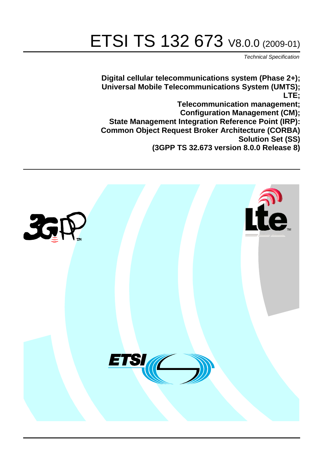# ETSI TS 132 673 V8.0.0 (2009-01)

*Technical Specification*

**Digital cellular telecommunications system (Phase 2+); Universal Mobile Telecommunications System (UMTS); LTE; Telecommunication management; Configuration Management (CM); State Management Integration Reference Point (IRP): Common Object Request Broker Architecture (CORBA) Solution Set (SS) (3GPP TS 32.673 version 8.0.0 Release 8)**

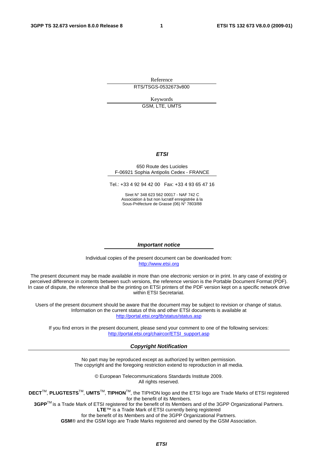Reference RTS/TSGS-0532673v800

Keywords

GSM, LTE, UMTS

#### *ETSI*

#### 650 Route des Lucioles F-06921 Sophia Antipolis Cedex - FRANCE

Tel.: +33 4 92 94 42 00 Fax: +33 4 93 65 47 16

Siret N° 348 623 562 00017 - NAF 742 C Association à but non lucratif enregistrée à la Sous-Préfecture de Grasse (06) N° 7803/88

#### *Important notice*

Individual copies of the present document can be downloaded from: [http://www.etsi.org](http://www.etsi.org/)

The present document may be made available in more than one electronic version or in print. In any case of existing or perceived difference in contents between such versions, the reference version is the Portable Document Format (PDF). In case of dispute, the reference shall be the printing on ETSI printers of the PDF version kept on a specific network drive within ETSI Secretariat.

Users of the present document should be aware that the document may be subject to revision or change of status. Information on the current status of this and other ETSI documents is available at <http://portal.etsi.org/tb/status/status.asp>

If you find errors in the present document, please send your comment to one of the following services: [http://portal.etsi.org/chaircor/ETSI\\_support.asp](http://portal.etsi.org/chaircor/ETSI_support.asp)

#### *Copyright Notification*

No part may be reproduced except as authorized by written permission. The copyright and the foregoing restriction extend to reproduction in all media.

> © European Telecommunications Standards Institute 2009. All rights reserved.

**DECT**TM, **PLUGTESTS**TM, **UMTS**TM, **TIPHON**TM, the TIPHON logo and the ETSI logo are Trade Marks of ETSI registered for the benefit of its Members.

**3GPP**TM is a Trade Mark of ETSI registered for the benefit of its Members and of the 3GPP Organizational Partners. **LTE**™ is a Trade Mark of ETSI currently being registered

for the benefit of its Members and of the 3GPP Organizational Partners.

**GSM**® and the GSM logo are Trade Marks registered and owned by the GSM Association.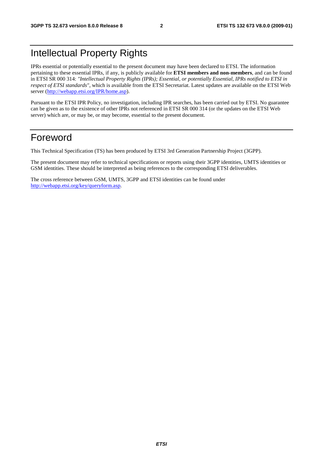# Intellectual Property Rights

IPRs essential or potentially essential to the present document may have been declared to ETSI. The information pertaining to these essential IPRs, if any, is publicly available for **ETSI members and non-members**, and can be found in ETSI SR 000 314: *"Intellectual Property Rights (IPRs); Essential, or potentially Essential, IPRs notified to ETSI in respect of ETSI standards"*, which is available from the ETSI Secretariat. Latest updates are available on the ETSI Web server [\(http://webapp.etsi.org/IPR/home.asp](http://webapp.etsi.org/IPR/home.asp)).

Pursuant to the ETSI IPR Policy, no investigation, including IPR searches, has been carried out by ETSI. No guarantee can be given as to the existence of other IPRs not referenced in ETSI SR 000 314 (or the updates on the ETSI Web server) which are, or may be, or may become, essential to the present document.

### Foreword

This Technical Specification (TS) has been produced by ETSI 3rd Generation Partnership Project (3GPP).

The present document may refer to technical specifications or reports using their 3GPP identities, UMTS identities or GSM identities. These should be interpreted as being references to the corresponding ETSI deliverables.

The cross reference between GSM, UMTS, 3GPP and ETSI identities can be found under <http://webapp.etsi.org/key/queryform.asp>.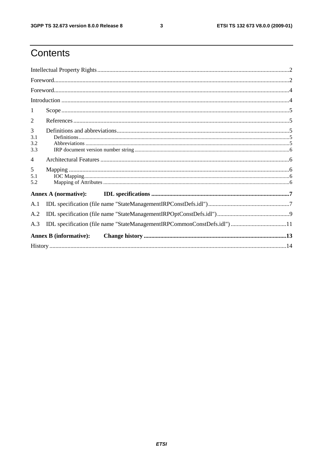$\mathbf{3}$ 

# Contents

| $\mathbf{1}$                  |  |
|-------------------------------|--|
| 2                             |  |
| 3<br>3.1<br>3.2<br>3.3        |  |
| 4                             |  |
| 5<br>5.1<br>5.2               |  |
| <b>Annex A (normative):</b>   |  |
| A.1                           |  |
| A.2                           |  |
| A.3                           |  |
| <b>Annex B</b> (informative): |  |
|                               |  |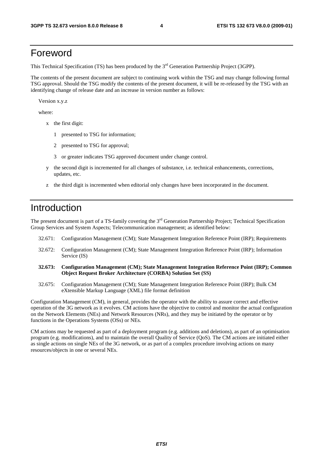### Foreword

This Technical Specification (TS) has been produced by the 3<sup>rd</sup> Generation Partnership Project (3GPP).

The contents of the present document are subject to continuing work within the TSG and may change following formal TSG approval. Should the TSG modify the contents of the present document, it will be re-released by the TSG with an identifying change of release date and an increase in version number as follows:

Version x.y.z

where:

- x the first digit:
	- 1 presented to TSG for information;
	- 2 presented to TSG for approval;
	- 3 or greater indicates TSG approved document under change control.
- y the second digit is incremented for all changes of substance, i.e. technical enhancements, corrections, updates, etc.
- z the third digit is incremented when editorial only changes have been incorporated in the document.

### Introduction

The present document is part of a TS-family covering the 3<sup>rd</sup> Generation Partnership Project; Technical Specification Group Services and System Aspects; Telecommunication management; as identified below:

- 32.671: Configuration Management (CM); State Management Integration Reference Point (IRP); Requirements
- 32.672: Configuration Management (CM); State Management Integration Reference Point (IRP); Information Service (IS)
- **32.673: Configuration Management (CM); State Management Integration Reference Point (IRP); Common Object Request Broker Architecture (CORBA) Solution Set (SS)**
- 32.675: Configuration Management (CM); State Management Integration Reference Point (IRP); Bulk CM eXtensible Markup Language (XML) file format definition

Configuration Management (CM), in general, provides the operator with the ability to assure correct and effective operation of the 3G network as it evolves. CM actions have the objective to control and monitor the actual configuration on the Network Elements (NEs) and Network Resources (NRs), and they may be initiated by the operator or by functions in the Operations Systems (OSs) or NEs.

CM actions may be requested as part of a deployment program (e.g. additions and deletions), as part of an optimisation program (e.g. modifications), and to maintain the overall Quality of Service (QoS). The CM actions are initiated either as single actions on single NEs of the 3G network, or as part of a complex procedure involving actions on many resources/objects in one or several NEs.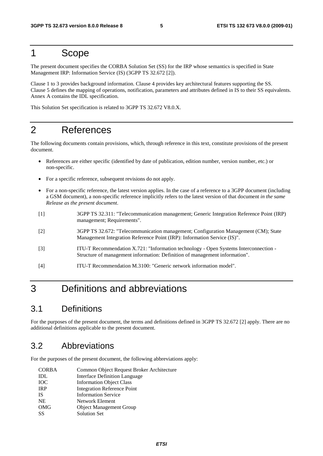### 1 Scope

The present document specifies the CORBA Solution Set (SS) for the IRP whose semantics is specified in State Management IRP: Information Service (IS) (3GPP TS 32.672 [2]).

Clause 1 to 3 provides background information. Clause 4 provides key architectural features supporting the SS. Clause 5 defines the mapping of operations, notification, parameters and attributes defined in IS to their SS equivalents. Annex A contains the IDL specification.

This Solution Set specification is related to 3GPP TS 32.672 V8.0.X.

### 2 References

The following documents contain provisions, which, through reference in this text, constitute provisions of the present document.

- References are either specific (identified by date of publication, edition number, version number, etc.) or non-specific.
- For a specific reference, subsequent revisions do not apply.
- For a non-specific reference, the latest version applies. In the case of a reference to a 3GPP document (including a GSM document), a non-specific reference implicitly refers to the latest version of that document *in the same Release as the present document*.
- [1] 3GPP TS 32.311: "Telecommunication management; Generic Integration Reference Point (IRP) management; Requirements".
- [2] 3GPP TS 32.672: "Telecommunication management; Configuration Management (CM); State Management Integration Reference Point (IRP): Information Service (IS)".
- [3] ITU-T Recommendation X.721: "Information technology Open Systems Interconnection Structure of management information: Definition of management information".
- [4] ITU-T Recommendation M.3100: "Generic network information model".

### 3 Definitions and abbreviations

### 3.1 Definitions

For the purposes of the present document, the terms and definitions defined in 3GPP TS 32.672 [2] apply. There are no additional definitions applicable to the present document.

### 3.2 Abbreviations

For the purposes of the present document, the following abbreviations apply:

| <b>CORBA</b> | Common Object Request Broker Architecture |
|--------------|-------------------------------------------|
| <b>IDL</b>   | <b>Interface Definition Language</b>      |
| <b>IOC</b>   | <b>Information Object Class</b>           |
| <b>IRP</b>   | Integration Reference Point               |
| IS           | <b>Information Service</b>                |
| <b>NE</b>    | Network Element                           |
| <b>OMG</b>   | <b>Object Management Group</b>            |
| SS           | <b>Solution Set</b>                       |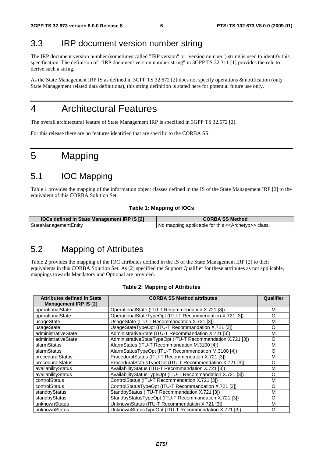### 3.3 IRP document version number string

The IRP document version number (sometimes called "IRP version" or "version number") string is used to identify this specification. The definition of "IRP document version number string" in 3GPP TS 32.311 [1] provides the rule to derive such a string.

As the State Management IRP IS as defined in 3GPP TS 32.672 [2] does not specify operations & notification (only State Management related data definitions), this string definition is stated here for potential future use only.

4 Architectural Features

The overall architectural feature of State Management IRP is specified in 3GPP TS 32.672 [2].

For this release there are no features identified that are specific to the CORBA SS.

# 5 Mapping

## 5.1 IOC Mapping

Table 1 provides the mapping of the information object classes defined in the IS of the State Management IRP [2] to the equivalent of this CORBA Solution Set.

#### **Table 1: Mapping of IOCs**

| <b>IOCs defined in State Management IRP IS [2]</b> | <b>ORBA SS Method</b>                                                 |
|----------------------------------------------------|-----------------------------------------------------------------------|
| StateManagementE                                   | mapping applicable for this < <archetyp>&gt; class.<br/>N0</archetyp> |

### 5.2 Mapping of Attributes

Table 2 provides the mapping of the IOC attributes defined in the IS of the State Management IRP [2] to their equivalents in this CORBA Solution Set. As [2] specified the Support Qualifier for these attributes as not applicable, mappings towards Mandatory and Optional are provided.

| <b>Table 2: Mapping of Attributes</b> |  |
|---------------------------------------|--|
|---------------------------------------|--|

| <b>Attributes defined in State</b><br><b>Management IRP IS [2]</b>     | <b>CORBA SS Method attributes</b>                           | Qualifier |
|------------------------------------------------------------------------|-------------------------------------------------------------|-----------|
| operationalState                                                       | OperationalState (ITU-T Recommendation X.721 [3])           | м         |
| operationalState                                                       | OperationalStateTypeOpt (ITU-T Recommendation X.721 [3])    | O         |
| usageState                                                             | UsageState (ITU-T Recommandation X.721 [3])                 | M         |
| usageState                                                             | UsageStateTypeOpt (ITU-T Recommandation X.721 [3])          | O         |
| administrativeState                                                    | AdministrativeState (ITU-T Recommandation X.721 [3])        | M         |
| administrativeState                                                    | AdministrativeStateTypeOpt (ITU-T Recommandation X.721 [3]) | O         |
| alarmStatus                                                            | AlarmStatus (ITU-T Recommandation M.3100 [4])               | M         |
| alarmStatus                                                            | AlarmStatusTypeOpt (ITU-T Recommendation M.3100 [4])        | O         |
| proceduralStatus                                                       | ProceduralStatus (ITU-T Recommendation X.721 [3])           | м         |
| proceduralStatus                                                       | ProceduralStatusTypeOpt (ITU-T Recommendation X.721 [3])    | O         |
| availabilityStatus                                                     | AvailabilityStatus (ITU-T Recommandation X.721 [3])         | M         |
| availabilityStatus                                                     | AvailabilityStatusTypeOpt (ITU-T Recommandation X.721 [3])  | O         |
| controlStatus                                                          | ControlStatus (ITU-T Recommandation X.721 [3])              | м         |
| controlStatus                                                          | ControlStatusTypeOpt (ITU-T Recommandation X.721 [3])       | O         |
| standbyStatus                                                          | StandbyStatus (ITU-T Recommandation X.721 [3])              | M         |
| StandbyStatusTypeOpt (ITU-T Recommandation X.721 [3])<br>standbyStatus |                                                             | O         |
| unknownStatus                                                          | UnknownStatus (ITU-T Recommendation X.721 [3])              | M         |
| unknownStatus                                                          | UnknownStatusTypeOpt (ITU-T Recommendation X.721 [3])       | O         |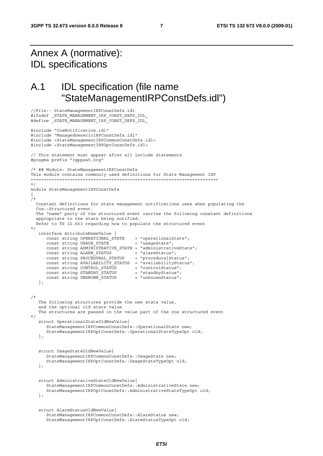## Annex A (normative): IDL specifications

//File:- StateManagementIRPConstDefs.idl #ifndef \_STATE\_MANAGEMENT\_IRP\_CONST\_DEFS\_IDL\_ #define \_STATE\_MANAGEMENT\_IRP\_CONST\_DEFS\_IDL\_

### A.1 IDL specification (file name "StateManagementIRPConstDefs.idl")

```
#include "CosNotification.idl" 
#include "ManagedGenericIRPConstDefs.idl" 
#include <StateManagementIRPCommonConstDefs.idl> 
#include <StateManagementIRPOptConstDefs.idl> 
// This statement must appear after all include statements 
#pragma prefix "3gppsa5.org" 
/* ## Module: StateManagementIRPConstDefs 
This module contains commonly used definitions for State Management IRP 
======================================================================== 
*/ 
module StateManagementIRPConstDefs
{ 
/* 
   Constant definitions for state management notifications uses when populating the 
   Cos::Structured event. 
   The "name" party of the structured event carries the following constant definitions 
   appropriate to the state being notified. 
   Refer to TS 32.663 regarding how to populate the structured event 
*/ 
    interface AttributeNameValue { 
      const string OPERATIONAL_STATE = "operationalState";<br>
const string USAGE STATE = "usageState";
      const string USAGE STATE
      const string ADMINISTRATIVE STATE = "administrativeState";
 const string ALARM_STATUS = "alarmStatus"; 
 const string PROCEDURAL_STATUS = "proceduralStatus"; 
      const string AVAILABILITY STATUS = "availabilityStatus";
 const string CONTROL_STATUS = "controlStatus"; 
 const string STANDBY_STATUS = "standbyStatus"; 
 const string UNKNOWN_STATUS = "unknownStatus"; 
    }; 
/* 
   The following structures provide the new state value, 
    and the optional old state value 
    The structures are passed in the value part of the cos structured event 
*/ 
    struct OperationalStateOldNewValue{ 
       StateManagementIRPCommonConstDefs::OperationalState new; 
       StateManagementIRPOptConstDefs::OperationalStateTypeOpt old; 
    }; 
    struct UsageStateOldNewValue{ 
       StateManagementIRPCommonConstDefs::UsageState new; 
       StateManagementIRPOptConstDefs::UsageStateTypeOpt old; 
    }; 
    struct AdministrativeStateOldNewValue{ 
       StateManagementIRPCommonConstDefs::AdministrativeState new; 
       StateManagementIRPOptConstDefs::AdministrativeStateTypeOpt old; 
    }; 
    struct AlarmStatusOldNewValue{ 
       StateManagementIRPCommonConstDefs::AlarmStatus new; 
       StateManagementIRPOptConstDefs::AlarmStatusTypeOpt old;
```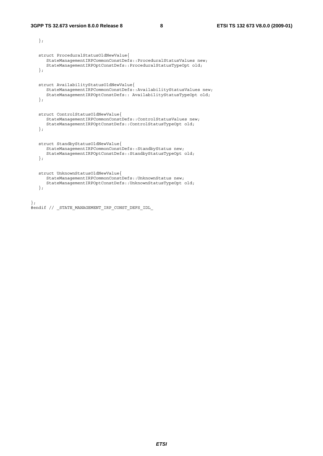};

|    | struct ProceduralStatusOldNewValue{<br>StateManagementIRPCommonConstDefs::ProceduralStatusValues new;<br>StateManagementIRPOptConstDefs::ProceduralStatusTypeOpt old;<br>$\}$ ;         |
|----|-----------------------------------------------------------------------------------------------------------------------------------------------------------------------------------------|
|    | struct AvailabilityStatusOldNewValue{<br>StateManagementIRPCommonConstDefs::AvailabilityStatusValues new;<br>StateManagementIRPOptConstDefs: : AvailabilityStatusTypeOpt old;<br>$\}$ ; |
|    | struct ControlStatusOldNewValue{<br>StateManagementIRPCommonConstDefs::ControlStatusValues new;<br>StateManagementIRPOptConstDefs::ControlStatusTypeOpt old;<br>$\}$ ;                  |
|    | struct StandbyStatusOldNewValue{<br>StateManagementIRPCommonConstDefs::StandbyStatus new;<br>StateManagementIRPOptConstDefs::StandbyStatusTypeOpt old;<br>};                            |
|    | struct UnknownStatusOldNewValue{<br>StateManagementIRPCommonConstDefs::UnknownStatus new;<br>StateManagementIRPOptConstDefs::UnknownStatusTypeOpt old;<br>$\}$ ;                        |
| ∤; |                                                                                                                                                                                         |

#endif // \_STATE\_MANAGEMENT\_IRP\_CONST\_DEFS\_IDL\_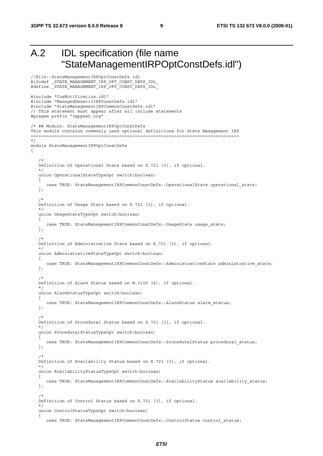#### A.2 IDL specification (file name "StateManagementIRPOptConstDefs.idl") //File:-StateManagementIRPOptConstDefs.idl #ifndef \_STATE\_MANAGEMENT\_IRP\_OPT\_CONST\_DEFS\_IDL\_ #define \_STATE\_MANAGEMENT\_IRP\_OPT\_CONST\_DEFS\_IDL\_ #include "CosNotification.idl" #include "ManagedGenericIRPConstDefs.idl" #include "StateManagementIRPCommonConstDefs.idl" // This statement must appear after all include statements #pragma prefix "3gppsa5.org" /\* ## Module: StateManagementIRPOptConstDefs This module contains commonly used optional definitions for State Management IRP ================================================================================ \*/ module StateManagementIRPOptConstDefs {  $/$ \* Definition of Operational State based on X.721 [3], if optional. \*/ union OperationalStateTypeOpt switch(boolean) { case TRUE: StateManagementIRPCommonConstDefs::OperationalState operational\_state; }; /\* Definition of Usage State based on X.721 [3], if optional. \*/ union UsageStateTypeOpt switch(boolean) { case TRUE: StateManagementIRPCommonConstDefs: : UsageState usage state; };  $/$ \* Definition of Administrative State based on X.721 [3], if optional. \*/ union AdministrativeStateTypeOpt switch(boolean) { case TRUE: StateManagementIRPCommonConstDefs::AdministrativeState administrative\_state; }; /\* Definition of Alarm Status based on M.3100 [4], if optional. \*/ union AlarmStatusTypeOpt switch(boolean) { case TRUE: StateManagementIRPCommonConstDefs::AlarmStatus alarm\_status; };  $/$ \* Definition of Procedural Status based on X.721 [3], if optional. \*/ union ProceduralStatusTypeOpt switch(boolean) { case TRUE: StateManagementIRPCommonConstDefs:: ProceduralStatus procedural status; }; /\* Definition of Availability Status based on X.721 [3], if optional. \*/ union AvailabilityStatusTypeOpt switch(boolean) { case TRUE: StateManagementIRPCommonConstDefs::AvailabilityStatus availability\_status; };  $/$ \* Definition of Control Status based on X.721 [3], if optional. \*/ union ControlStatusTypeOpt switch(boolean)  $\{$ case TRUE: StateManagementIRPCommonConstDefs::ControlStatus control status;

#### *ETSI*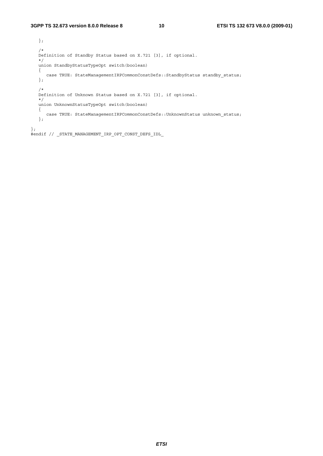}; /\* Definition of Standby Status based on X.721 [3], if optional. \*/ union StandbyStatusTypeOpt switch(boolean) { case TRUE: StateManagementIRPCommonConstDefs::StandbyStatus standby\_status; }; /\* Definition of Unknown Status based on X.721 [3], if optional. \*/ union UnknownStatusTypeOpt switch(boolean) { case TRUE: StateManagementIRPCommonConstDefs::UnknownStatus unknown\_status; }; };

#endif // \_STATE\_MANAGEMENT\_IRP\_OPT\_CONST\_DEFS\_IDL\_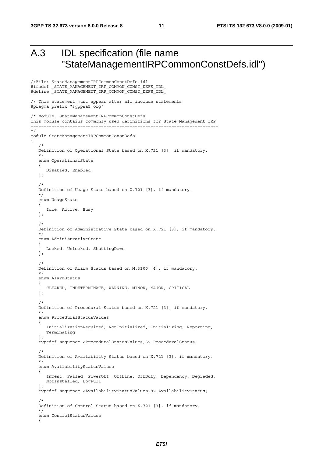//File: StateManagementIRPCommonConstDefs.idl

# A.3 IDL specification (file name "StateManagementIRPCommonConstDefs.idl")

```
#ifndef _STATE_MANAGEMENT_IRP_COMMON_CONST_DEFS_IDL_ 
#define _STATE_MANAGEMENT_IRP_COMMON_CONST_DEFS_IDL_ 
// This statement must appear after all include statements 
#pragma prefix "3gppsa5.org" 
/* Module: StateManagementIRPCommonConstDefs 
This module contains commonly used definitions for State Management IRP 
======================================================================== 
*/ 
module StateManagementIRPCommonConstDefs 
{ 
/*
    Definition of Operational State based on X.721 [3], if mandatory. 
    */ 
    enum OperationalState 
    { 
       Disabled, Enabled 
    }; 
/*
    Definition of Usage State based on X.721 [3], if mandatory. 
    */ 
    enum UsageState 
    { 
       Idle, Active, Busy 
    }; 
    /* 
    Definition of Administrative State based on X.721 [3], if mandatory. 
    */ 
    enum AdministrativeState 
    { 
       Locked, Unlocked, ShuttingDown 
    }; 
/*
    Definition of Alarm Status based on M.3100 [4], if mandatory. 
    */ 
    enum AlarmStatus 
    { 
       CLEARED, INDETERMINATE, WARNING, MINOR, MAJOR, CRITICAL 
    }; 
/*
    Definition of Procedural Status based on X.721 [3], if mandatory. 
    */ 
    enum ProceduralStatusValues 
    { 
       InitializationRequired, NotInitialized, Initializing, Reporting, 
       Terminating 
    }; 
    typedef sequence <ProceduralStatusValues,5> ProceduralStatus; 
    /* 
    Definition of Availability Status based on X.721 [3], if mandatory. 
    */ 
    enum AvailabilityStatusValues 
    { 
       InTest, Failed, PowerOff, OffLine, OffDuty, Dependency, Degraded, 
       NotInstalled, LogFull 
    }; 
    typedef sequence <AvailabilityStatusValues,9> AvailabilityStatus; 
/*
    Definition of Control Status based on X.721 [3], if mandatory. 
    */ 
    enum ControlStatusValues 
\{
```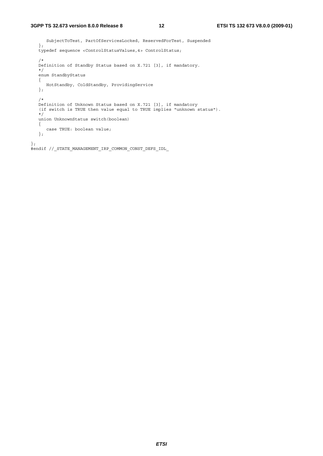```
 SubjectToTest, PartOfServicesLocked, ReservedForTest, Suspended 
    }; 
    typedef sequence <ControlStatusValues,4> ControlStatus; 
    /* 
    Definition of Standby Status based on X.721 [3], if mandatory. 
    */ 
    enum StandbyStatus 
    { 
      HotStandby, ColdStandby, ProvidingService 
    }; 
    /* 
    Definition of Unknown Status based on X.721 [3], if mandatory 
    (if switch is TRUE then value equal to TRUE implies "unknown status"). 
    */ 
    union UnknownStatus switch(boolean) 
    { 
      case TRUE: boolean value; 
    }; 
}; 
#endif //_STATE_MANAGEMENT_IRP_COMMON_CONST_DEFS_IDL_
```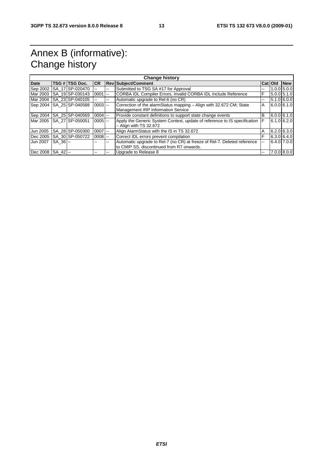# Annex B (informative): Change history

| <b>Change history</b> |               |                       |            |     |                                                                           |         |               |
|-----------------------|---------------|-----------------------|------------|-----|---------------------------------------------------------------------------|---------|---------------|
| <b>Date</b>           |               | <b>TSG # TSG Doc.</b> | ICR.       |     | <b>Rev Subject/Comment</b>                                                | Cat Old | <b>New</b>    |
| Sep 2002              |               | SA 17 SP-020470       |            | --  | Submitted to TSG SA #17 for Approval                                      | --      | $1.0.0$ 5.0.0 |
| Mar 2003              |               | SA 19 SP-030143       | $0001$ --  |     | CORBA IDL Compiler Errors, Invalid CORBA IDL Include Reference            | F       | 5.0.0 5.1.0   |
| Mar 2004              |               | SA 23 SP-040105       |            | $-$ | Automatic upgrade to Rel-6 (no CR)                                        | --      | 5.1.0 6.0.0   |
| Sep 2004              |               | ISA 25 SP-040588      | $0003$ $-$ |     | Correction of the alarmStatus mapping - Align with 32.672 CM; State       | A       | $6.0.0$ 6.1.0 |
|                       |               |                       |            |     | Management IRP Information Service                                        |         |               |
| Sep 2004              |               | SA 25 SP-040569       | $0004$ --  |     | Provide constant definitions to support state change events               | B       | 6.0.06.1.0    |
| Mar 2005              |               | ISA 27 ISP-050051     | $0005$ --  |     | Apply the Generic System Context, update of reference to IS specification | F       | $6.1.0$ 6.2.0 |
|                       |               |                       |            |     | - Align with TS 32.672                                                    |         |               |
| Jun 2005              |               | SA 28 SP-050300       | $0007$ --  |     | Align AlarmStatus with the IS in TS 32.672                                | A       | $6.2.0$ 6.3.0 |
| Dec 2005              |               | SA 30 SP-050722       | $0008$ $-$ |     | Correct IDL errors prevent compilation                                    | F       | 6.3.064.0     |
| Jun 2007              | $SA$ 36 $-$   |                       |            | --  | Automatic upgrade to Rel-7 (no CR) at freeze of Rel-7. Deleted reference  | --      | $6.4.0$ 7.0.0 |
|                       |               |                       |            |     | to CMIP SS, discontinued from R7 onwards.                                 |         |               |
| Dec 2008              | <b>SA 42-</b> |                       |            |     | Upgrade to Release 8                                                      | --      | $7.0.0$ 8.0.0 |